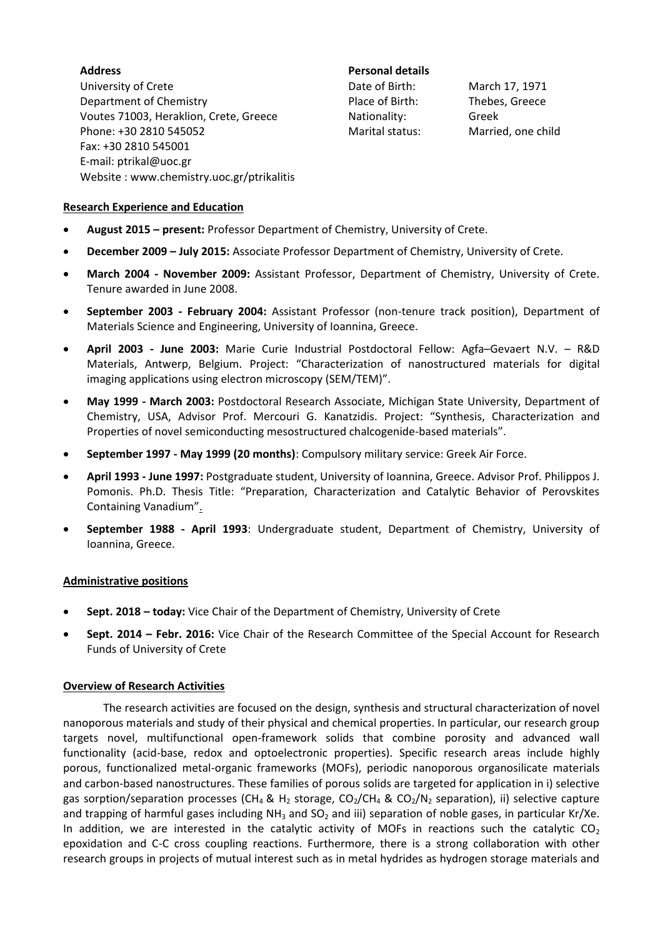**Address**  University of Crete Department of Chemistry Voutes 71003, Heraklion, Crete, Greece Phone: +30 2810 545052 Fax: +30 2810 545001 E-mail: ptrikal@uoc.gr Website : www.chemistry.uoc.gr/ptrikalitis

**Personal details** Nationality: Greek

Date of Birth: March 17, 1971 Place of Birth: Thebes, Greece Marital status: Married, one child

### **Research Experience and Education**

- **August 2015 – present:** Professor Department of Chemistry, University of Crete.
- **December 2009 – July 2015:** Associate Professor Department of Chemistry, University of Crete.
- **March 2004 - November 2009:** Assistant Professor, Department of Chemistry, University of Crete. Tenure awarded in June 2008.
- **September 2003 - February 2004:** Assistant Professor (non-tenure track position), Department of Materials Science and Engineering, University of Ioannina, Greece.
- **April 2003 - June 2003:** Marie Curie Industrial Postdoctoral Fellow: Agfa–Gevaert N.V. R&D Materials, Antwerp, Belgium. Project: "Characterization of nanostructured materials for digital imaging applications using electron microscopy (SEM/TEM)".
- **May 1999 - March 2003:** Postdoctoral Research Associate, Michigan State University, Department of Chemistry, USA, Advisor Prof. Mercouri G. Kanatzidis. Project: "Synthesis, Characterization and Properties of novel semiconducting mesostructured chalcogenide-based materials".
- **September 1997 - May 1999 (20 months)**: Compulsory military service: Greek Air Force.
- **April 1993 - June 1997:** Postgraduate student, University of Ioannina, Greece. Advisor Prof. Philippos J. Pomonis. Ph.D. Thesis Title: "Preparation, Characterization and Catalytic Behavior of Perovskites Containing Vanadium".
- **September 1988 - April 1993**: Undergraduate student, Department of Chemistry, University of Ioannina, Greece.

### **Administrative positions**

- **Sept. 2018 – today:** Vice Chair of the Department of Chemistry, University of Crete
- **Sept. 2014 – Febr. 2016:** Vice Chair of the Research Committee of the Special Account for Research Funds of University of Crete

### **Overview of Research Activities**

The research activities are focused on the design, synthesis and structural characterization of novel nanoporous materials and study of their physical and chemical properties. In particular, our research group targets novel, multifunctional open-framework solids that combine porosity and advanced wall functionality (acid-base, redox and optoelectronic properties). Specific research areas include highly porous, functionalized metal-organic frameworks (MOFs), periodic nanoporous organosilicate materials and carbon-based nanostructures. These families of porous solids are targeted for application in i) selective gas sorption/separation processes (CH<sub>4</sub> & H<sub>2</sub> storage, CO<sub>2</sub>/CH<sub>4</sub> & CO<sub>2</sub>/N<sub>2</sub> separation), ii) selective capture and trapping of harmful gases including  $NH<sub>3</sub>$  and  $SO<sub>2</sub>$  and iii) separation of noble gases, in particular Kr/Xe. In addition, we are interested in the catalytic activity of MOFs in reactions such the catalytic  $CO<sub>2</sub>$ epoxidation and C-C cross coupling reactions. Furthermore, there is a strong collaboration with other research groups in projects of mutual interest such as in metal hydrides as hydrogen storage materials and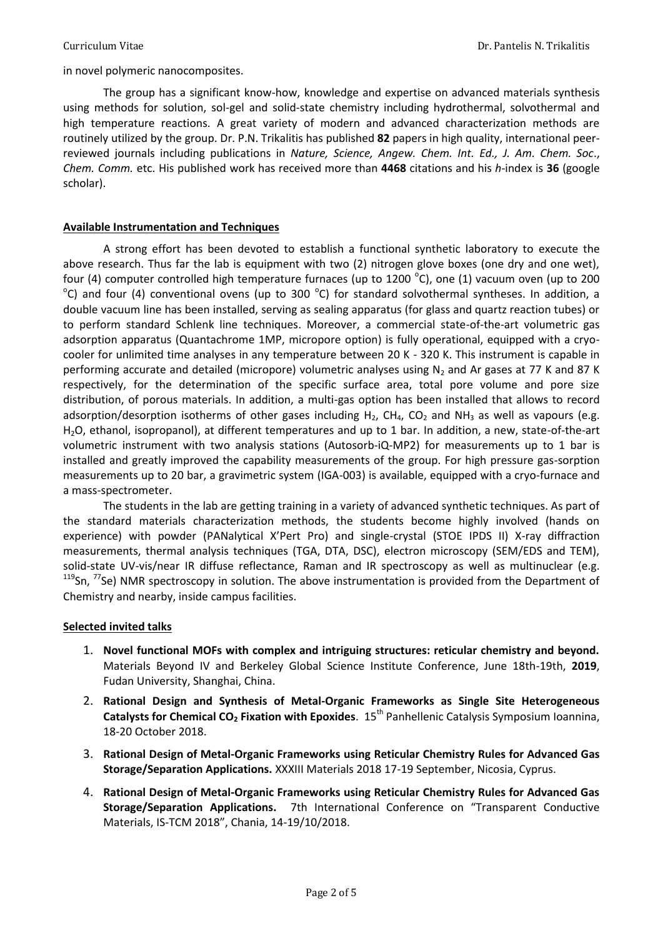in novel polymeric nanocomposites.

The group has a significant know-how, knowledge and expertise on advanced materials synthesis using methods for solution, sol-gel and solid-state chemistry including hydrothermal, solvothermal and high temperature reactions. A great variety of modern and advanced characterization methods are routinely utilized by the group. Dr. P.N. Trikalitis has published **82** papers in high quality, international peerreviewed journals including publications in *Nature, Science, Angew. Chem. Int. Ed., J. Am. Chem. Soc*., *Chem. Comm.* etc. His published work has received more than **4468** citations and his *h*-index is **36** (google scholar).

## **Available Instrumentation and Techniques**

A strong effort has been devoted to establish a functional synthetic laboratory to execute the above research. Thus far the lab is equipment with two (2) nitrogen glove boxes (one dry and one wet), four (4) computer controlled high temperature furnaces (up to 1200  $^{\circ}$ C), one (1) vacuum oven (up to 200  $\rm ^{o}$ C) and four (4) conventional ovens (up to 300  $\rm ^{o}$ C) for standard solvothermal syntheses. In addition, a double vacuum line has been installed, serving as sealing apparatus (for glass and quartz reaction tubes) or to perform standard Schlenk line techniques. Moreover, a commercial state-of-the-art volumetric gas adsorption apparatus (Quantachrome 1MP, micropore option) is fully operational, equipped with a cryocooler for unlimited time analyses in any temperature between 20 K - 320 K. This instrument is capable in performing accurate and detailed (micropore) volumetric analyses using  $N_2$  and Ar gases at 77 K and 87 K respectively, for the determination of the specific surface area, total pore volume and pore size distribution, of porous materials. In addition, a multi-gas option has been installed that allows to record adsorption/desorption isotherms of other gases including  $H_2$ , CH<sub>4</sub>, CO<sub>2</sub> and NH<sub>3</sub> as well as vapours (e.g. H2O, ethanol, isopropanol), at different temperatures and up to 1 bar. In addition, a new, state-of-the-art volumetric instrument with two analysis stations (Autosorb-iQ-MP2) for measurements up to 1 bar is installed and greatly improved the capability measurements of the group. For high pressure gas-sorption measurements up to 20 bar, a gravimetric system (IGA-003) is available, equipped with a cryo-furnace and a mass-spectrometer.

The students in the lab are getting training in a variety of advanced synthetic techniques. As part of the standard materials characterization methods, the students become highly involved (hands on experience) with powder (PANalytical X'Pert Pro) and single-crystal (STOE IPDS II) X-ray diffraction measurements, thermal analysis techniques (TGA, DTA, DSC), electron microscopy (SEM/EDS and TEM), solid-state UV-vis/near IR diffuse reflectance, Raman and IR spectroscopy as well as multinuclear (e.g.  $119$ Sn,  $77$ Se) NMR spectroscopy in solution. The above instrumentation is provided from the Department of Chemistry and nearby, inside campus facilities.

### **Selected invited talks**

- 1. **Novel functional MOFs with complex and intriguing structures: reticular chemistry and beyond.**  Materials Beyond IV and Berkeley Global Science Institute Conference, June 18th-19th, **2019**, Fudan University, Shanghai, China.
- 2. **Rational Design and Synthesis of Metal-Organic Frameworks as Single Site Heterogeneous Catalysts for Chemical CO<sup>2</sup> Fixation with Epoxides**. 15th Panhellenic Catalysis Symposium Ioannina, 18-20 October 2018.
- 3. **Rational Design of Metal-Organic Frameworks using Reticular Chemistry Rules for Advanced Gas Storage/Separation Applications.** XXXIII Materials 2018 17-19 September, Nicosia, Cyprus.
- 4. **Rational Design of Metal-Organic Frameworks using Reticular Chemistry Rules for Advanced Gas Storage/Separation Applications.** 7th International Conference on "Transparent Conductive Materials, IS-TCM 2018", Chania, 14-19/10/2018.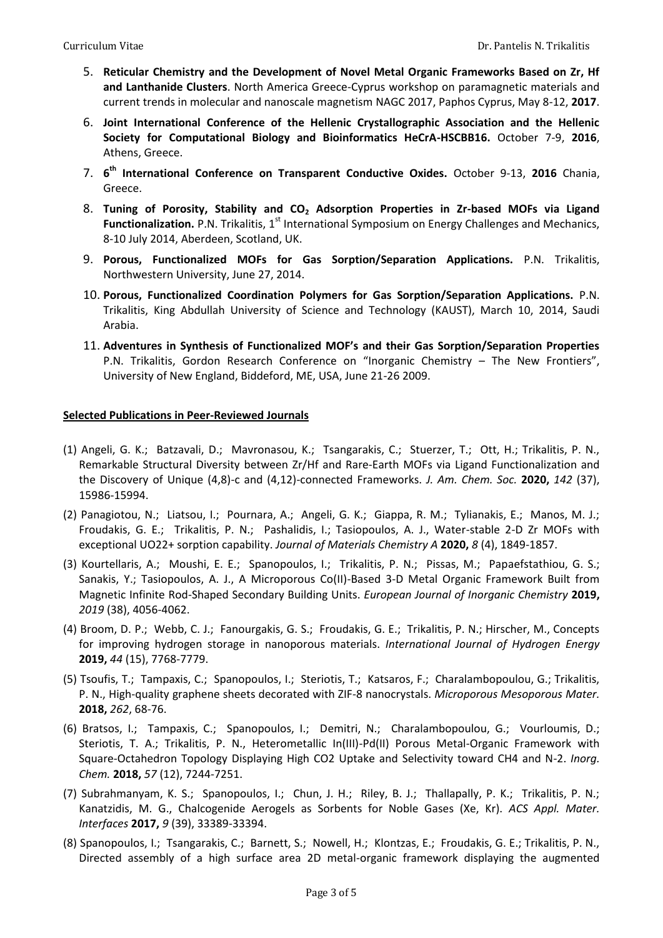- 5. **Reticular Chemistry and the Development of Novel Metal Organic Frameworks Based on Zr, Hf and Lanthanide Clusters**. North America Greece-Cyprus workshop on paramagnetic materials and current trends in molecular and nanoscale magnetism NAGC 2017, Paphos Cyprus, May 8-12, **2017**.
- 6. **Joint International Conference of the Hellenic Crystallographic Association and the Hellenic Society for Computational Biology and Bioinformatics HeCrA-HSCBB16.** October 7-9, **2016**, Athens, Greece.
- 7. **6 th International Conference on Transparent Conductive Oxides.** October 9-13, **2016** Chania, Greece.
- 8. **Tuning of Porosity, Stability and CO<sup>2</sup> Adsorption Properties in Zr-based MOFs via Ligand Functionalization.** P.N. Trikalitis, 1<sup>st</sup> International Symposium on Energy Challenges and Mechanics, 8-10 July 2014, Aberdeen, Scotland, UK.
- 9. **Porous, Functionalized MOFs for Gas Sorption/Separation Applications.** P.N. Trikalitis, Northwestern University, June 27, 2014.
- 10. **Porous, Functionalized Coordination Polymers for Gas Sorption/Separation Applications.** P.N. Trikalitis, King Abdullah University of Science and Technology (KAUST), March 10, 2014, Saudi Arabia.
- 11. **Adventures in Synthesis of Functionalized MOF's and their Gas Sorption/Separation Properties**  P.N. Trikalitis, Gordon Research Conference on "Inorganic Chemistry – The New Frontiers", University of New England, Biddeford, ME, USA, June 21-26 2009.

# **Selected Publications in Peer-Reviewed Journals**

- (1) Angeli, G. K.; Batzavali, D.; Mavronasou, K.; Tsangarakis, C.; Stuerzer, T.; Ott, H.; Trikalitis, P. N., Remarkable Structural Diversity between Zr/Hf and Rare-Earth MOFs via Ligand Functionalization and the Discovery of Unique (4,8)-c and (4,12)-connected Frameworks. *J. Am. Chem. Soc.* **2020,** *142* (37), 15986-15994.
- (2) Panagiotou, N.; Liatsou, I.; Pournara, A.; Angeli, G. K.; Giappa, R. M.; Tylianakis, E.; Manos, M. J.; Froudakis, G. E.; Trikalitis, P. N.; Pashalidis, I.; Tasiopoulos, A. J., Water-stable 2-D Zr MOFs with exceptional UO22+ sorption capability. *Journal of Materials Chemistry A* **2020,** *8* (4), 1849-1857.
- (3) Kourtellaris, A.; Moushi, E. E.; Spanopoulos, I.; Trikalitis, P. N.; Pissas, M.; Papaefstathiou, G. S.; Sanakis, Y.; Tasiopoulos, A. J., A Microporous Co(II)-Based 3-D Metal Organic Framework Built from Magnetic Infinite Rod-Shaped Secondary Building Units. *European Journal of Inorganic Chemistry* **2019,** *2019* (38), 4056-4062.
- (4) Broom, D. P.; Webb, C. J.; Fanourgakis, G. S.; Froudakis, G. E.; Trikalitis, P. N.; Hirscher, M., Concepts for improving hydrogen storage in nanoporous materials. *International Journal of Hydrogen Energy*  **2019,** *44* (15), 7768-7779.
- (5) Tsoufis, T.; Tampaxis, C.; Spanopoulos, I.; Steriotis, T.; Katsaros, F.; Charalambopoulou, G.; Trikalitis, P. N., High-quality graphene sheets decorated with ZIF-8 nanocrystals. *Microporous Mesoporous Mater.*  **2018,** *262*, 68-76.
- (6) Bratsos, I.; Tampaxis, C.; Spanopoulos, I.; Demitri, N.; Charalambopoulou, G.; Vourloumis, D.; Steriotis, T. A.; Trikalitis, P. N., Heterometallic In(III)-Pd(II) Porous Metal-Organic Framework with Square-Octahedron Topology Displaying High CO2 Uptake and Selectivity toward CH4 and N-2. *Inorg. Chem.* **2018,** *57* (12), 7244-7251.
- (7) Subrahmanyam, K. S.; Spanopoulos, I.; Chun, J. H.; Riley, B. J.; Thallapally, P. K.; Trikalitis, P. N.; Kanatzidis, M. G., Chalcogenide Aerogels as Sorbents for Noble Gases (Xe, Kr). *ACS Appl. Mater. Interfaces* **2017,** *9* (39), 33389-33394.
- (8) Spanopoulos, I.; Tsangarakis, C.; Barnett, S.; Nowell, H.; Klontzas, E.; Froudakis, G. E.; Trikalitis, P. N., Directed assembly of a high surface area 2D metal-organic framework displaying the augmented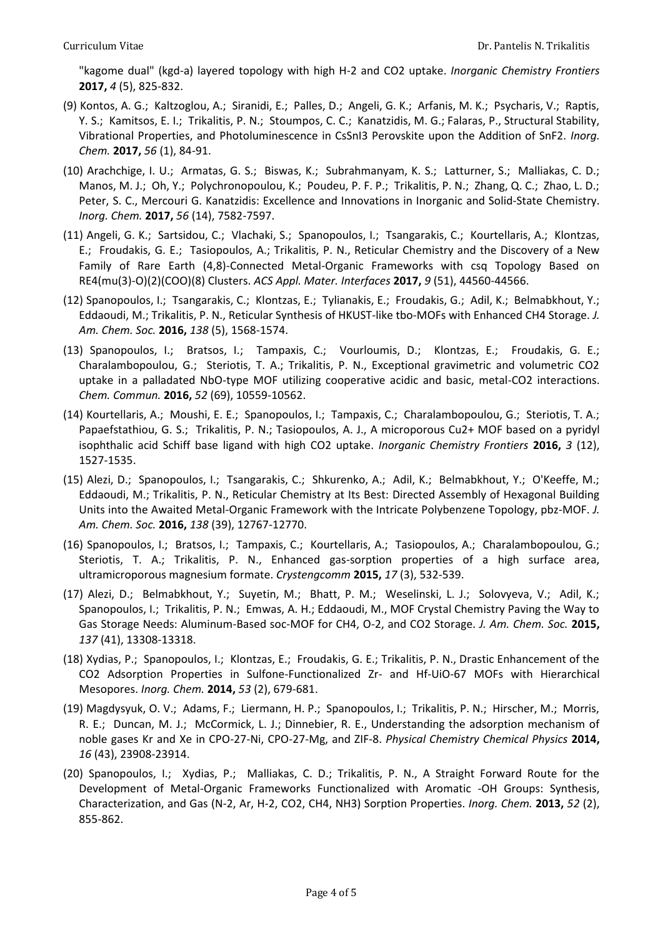"kagome dual" (kgd-a) layered topology with high H-2 and CO2 uptake. *Inorganic Chemistry Frontiers*  **2017,** *4* (5), 825-832.

- (9) Kontos, A. G.; Kaltzoglou, A.; Siranidi, E.; Palles, D.; Angeli, G. K.; Arfanis, M. K.; Psycharis, V.; Raptis, Y. S.; Kamitsos, E. I.; Trikalitis, P. N.; Stoumpos, C. C.; Kanatzidis, M. G.; Falaras, P., Structural Stability, Vibrational Properties, and Photoluminescence in CsSnI3 Perovskite upon the Addition of SnF2. *Inorg. Chem.* **2017,** *56* (1), 84-91.
- (10) Arachchige, I. U.; Armatas, G. S.; Biswas, K.; Subrahmanyam, K. S.; Latturner, S.; Malliakas, C. D.; Manos, M. J.; Oh, Y.; Polychronopoulou, K.; Poudeu, P. F. P.; Trikalitis, P. N.; Zhang, Q. C.; Zhao, L. D.; Peter, S. C., Mercouri G. Kanatzidis: Excellence and Innovations in Inorganic and Solid-State Chemistry. *Inorg. Chem.* **2017,** *56* (14), 7582-7597.
- (11) Angeli, G. K.; Sartsidou, C.; Vlachaki, S.; Spanopoulos, I.; Tsangarakis, C.; Kourtellaris, A.; Klontzas, E.; Froudakis, G. E.; Tasiopoulos, A.; Trikalitis, P. N., Reticular Chemistry and the Discovery of a New Family of Rare Earth (4,8)-Connected Metal-Organic Frameworks with csq Topology Based on RE4(mu(3)-O)(2)(COO)(8) Clusters. *ACS Appl. Mater. Interfaces* **2017,** *9* (51), 44560-44566.
- (12) Spanopoulos, I.; Tsangarakis, C.; Klontzas, E.; Tylianakis, E.; Froudakis, G.; Adil, K.; Belmabkhout, Y.; Eddaoudi, M.; Trikalitis, P. N., Reticular Synthesis of HKUST-like tbo-MOFs with Enhanced CH4 Storage. *J. Am. Chem. Soc.* **2016,** *138* (5), 1568-1574.
- (13) Spanopoulos, I.; Bratsos, I.; Tampaxis, C.; Vourloumis, D.; Klontzas, E.; Froudakis, G. E.; Charalambopoulou, G.; Steriotis, T. A.; Trikalitis, P. N., Exceptional gravimetric and volumetric CO2 uptake in a palladated NbO-type MOF utilizing cooperative acidic and basic, metal-CO2 interactions. *Chem. Commun.* **2016,** *52* (69), 10559-10562.
- (14) Kourtellaris, A.; Moushi, E. E.; Spanopoulos, I.; Tampaxis, C.; Charalambopoulou, G.; Steriotis, T. A.; Papaefstathiou, G. S.; Trikalitis, P. N.; Tasiopoulos, A. J., A microporous Cu2+ MOF based on a pyridyl isophthalic acid Schiff base ligand with high CO2 uptake. *Inorganic Chemistry Frontiers* **2016,** *3* (12), 1527-1535.
- (15) Alezi, D.; Spanopoulos, I.; Tsangarakis, C.; Shkurenko, A.; Adil, K.; Belmabkhout, Y.; O'Keeffe, M.; Eddaoudi, M.; Trikalitis, P. N., Reticular Chemistry at Its Best: Directed Assembly of Hexagonal Building Units into the Awaited Metal-Organic Framework with the Intricate Polybenzene Topology, pbz-MOF. *J. Am. Chem. Soc.* **2016,** *138* (39), 12767-12770.
- (16) Spanopoulos, I.; Bratsos, I.; Tampaxis, C.; Kourtellaris, A.; Tasiopoulos, A.; Charalambopoulou, G.; Steriotis, T. A.; Trikalitis, P. N., Enhanced gas-sorption properties of a high surface area, ultramicroporous magnesium formate. *Crystengcomm* **2015,** *17* (3), 532-539.
- (17) Alezi, D.; Belmabkhout, Y.; Suyetin, M.; Bhatt, P. M.; Weselinski, L. J.; Solovyeva, V.; Adil, K.; Spanopoulos, I.; Trikalitis, P. N.; Emwas, A. H.; Eddaoudi, M., MOF Crystal Chemistry Paving the Way to Gas Storage Needs: Aluminum-Based soc-MOF for CH4, O-2, and CO2 Storage. *J. Am. Chem. Soc.* **2015,** *137* (41), 13308-13318.
- (18) Xydias, P.; Spanopoulos, I.; Klontzas, E.; Froudakis, G. E.; Trikalitis, P. N., Drastic Enhancement of the CO2 Adsorption Properties in Sulfone-Functionalized Zr- and Hf-UiO-67 MOFs with Hierarchical Mesopores. *Inorg. Chem.* **2014,** *53* (2), 679-681.
- (19) Magdysyuk, O. V.; Adams, F.; Liermann, H. P.; Spanopoulos, I.; Trikalitis, P. N.; Hirscher, M.; Morris, R. E.; Duncan, M. J.; McCormick, L. J.; Dinnebier, R. E., Understanding the adsorption mechanism of noble gases Kr and Xe in CPO-27-Ni, CPO-27-Mg, and ZIF-8. *Physical Chemistry Chemical Physics* **2014,** *16* (43), 23908-23914.
- (20) Spanopoulos, I.; Xydias, P.; Malliakas, C. D.; Trikalitis, P. N., A Straight Forward Route for the Development of Metal-Organic Frameworks Functionalized with Aromatic -OH Groups: Synthesis, Characterization, and Gas (N-2, Ar, H-2, CO2, CH4, NH3) Sorption Properties. *Inorg. Chem.* **2013,** *52* (2), 855-862.